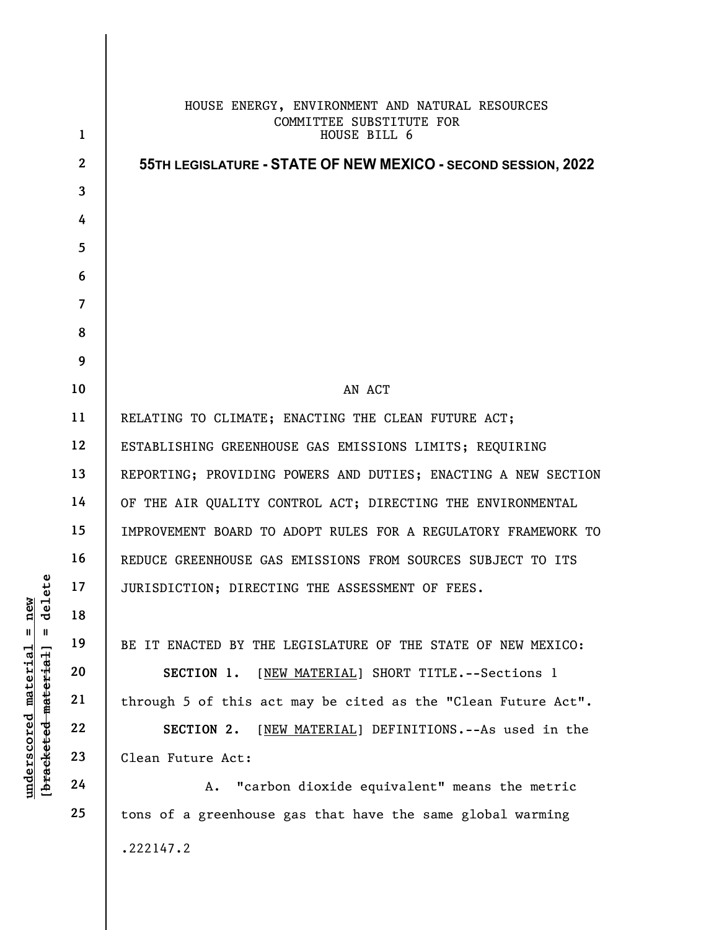|                                         | $\mathbf{1}$   | HOUSE ENERGY, ENVIRONMENT AND NATURAL RESOURCES<br>COMMITTEE SUBSTITUTE FOR<br>HOUSE BILL 6 |
|-----------------------------------------|----------------|---------------------------------------------------------------------------------------------|
|                                         | $\mathbf{2}$   | 55TH LEGISLATURE - STATE OF NEW MEXICO - SECOND SESSION, 2022                               |
|                                         | $\mathbf{3}$   |                                                                                             |
|                                         | 4              |                                                                                             |
|                                         | 5              |                                                                                             |
|                                         | 6              |                                                                                             |
|                                         | $\overline{7}$ |                                                                                             |
|                                         | 8              |                                                                                             |
|                                         | 9              |                                                                                             |
|                                         | 10             | AN ACT                                                                                      |
|                                         | 11             | RELATING TO CLIMATE; ENACTING THE CLEAN FUTURE ACT;                                         |
|                                         | 12             | ESTABLISHING GREENHOUSE GAS EMISSIONS LIMITS; REQUIRING                                     |
|                                         | 13             | REPORTING; PROVIDING POWERS AND DUTIES; ENACTING A NEW SECTION                              |
|                                         | 14             | OF THE AIR QUALITY CONTROL ACT; DIRECTING THE ENVIRONMENTAL                                 |
|                                         | 15             | IMPROVEMENT BOARD TO ADOPT RULES FOR A REGULATORY FRAMEWORK TO                              |
|                                         | 16             | REDUCE GREENHOUSE GAS EMISSIONS FROM SOURCES SUBJECT TO ITS                                 |
| delete                                  | 17             | JURISDICTION; DIRECTING THE ASSESSMENT OF FEES.                                             |
| new                                     | 18             |                                                                                             |
| $\mathsf{I}$<br>$\mathbf{I}$            | 19             | BE IT ENACTED BY THE LEGISLATURE OF THE STATE OF NEW MEXICO:                                |
| [bracketed material]<br><u>material</u> | 20             | [NEW MATERIAL] SHORT TITLE. -- Sections 1<br>SECTION 1.                                     |
|                                         | 21             | through 5 of this act may be cited as the "Clean Future Act".                               |
|                                         | 22             | [NEW MATERIAL] DEFINITIONS. -- As used in the<br>SECTION 2.                                 |
| <u>underscored</u>                      | 23             | Clean Future Act:                                                                           |
|                                         | 24             | "carbon dioxide equivalent" means the metric<br>Α.                                          |
|                                         | 25             | tons of a greenhouse gas that have the same global warming                                  |
|                                         |                | .222147.2                                                                                   |
|                                         |                |                                                                                             |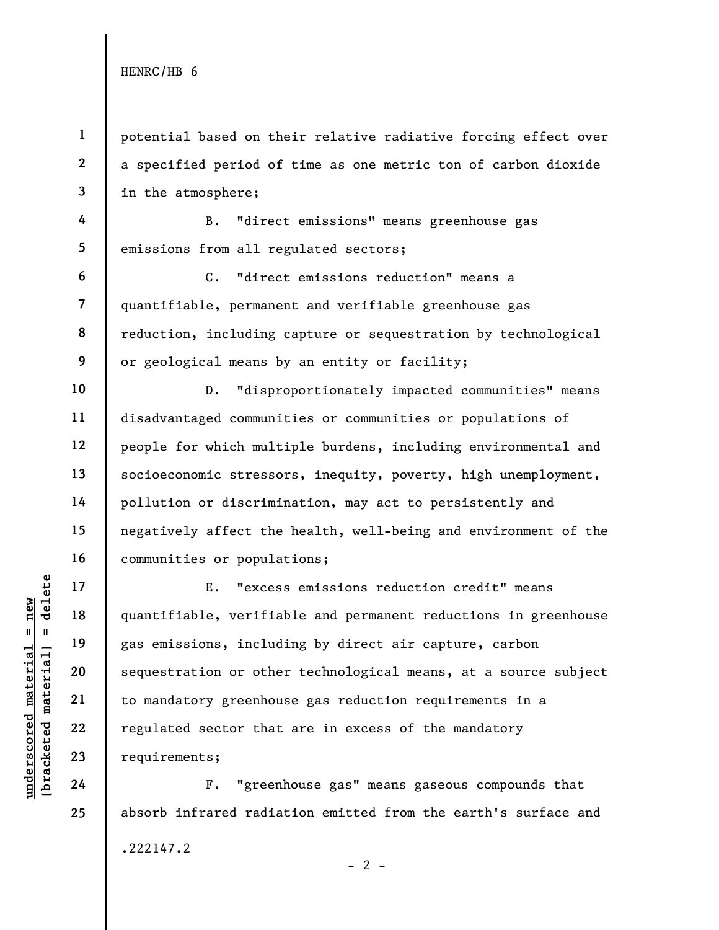6

10

11

12

13

14

15

16

17

18

19

20

21

22

23

24

25

1 2 3 potential based on their relative radiative forcing effect over a specified period of time as one metric ton of carbon dioxide in the atmosphere;

4 5 B. "direct emissions" means greenhouse gas emissions from all regulated sectors;

7 8 9 C. "direct emissions reduction" means a quantifiable, permanent and verifiable greenhouse gas reduction, including capture or sequestration by technological or geological means by an entity or facility;

D. "disproportionately impacted communities" means disadvantaged communities or communities or populations of people for which multiple burdens, including environmental and socioeconomic stressors, inequity, poverty, high unemployment, pollution or discrimination, may act to persistently and negatively affect the health, well-being and environment of the communities or populations;

underscored material = new [bracketed material] = delete E. "excess emissions reduction credit" means quantifiable, verifiable and permanent reductions in greenhouse gas emissions, including by direct air capture, carbon sequestration or other technological means, at a source subject to mandatory greenhouse gas reduction requirements in a regulated sector that are in excess of the mandatory requirements;

F. "greenhouse gas" means gaseous compounds that absorb infrared radiation emitted from the earth's surface and .222147.2

 $- 2 -$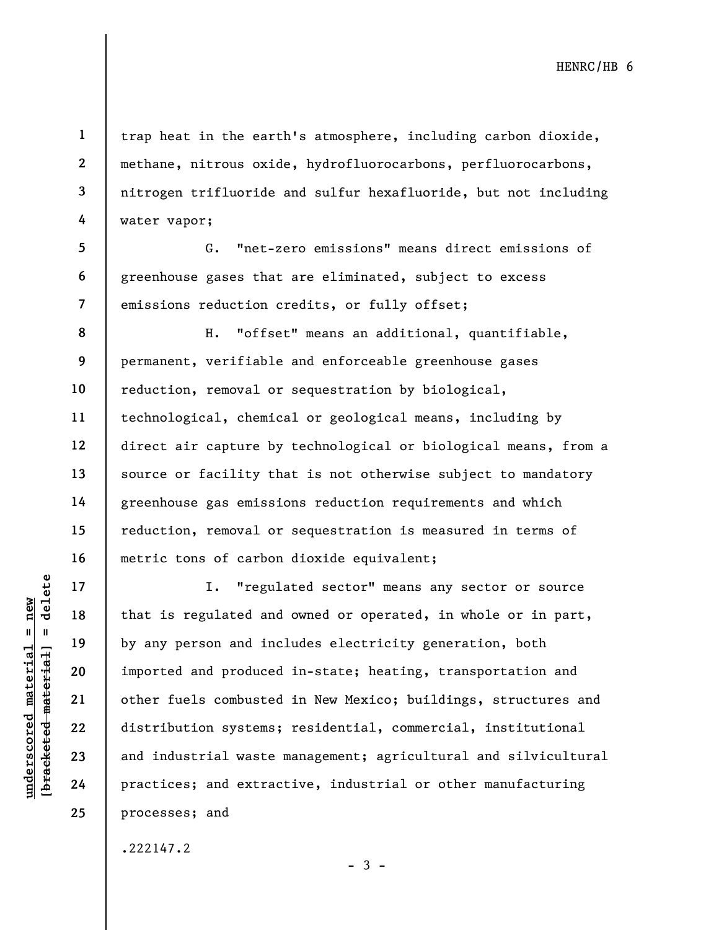2 3 trap heat in the earth's atmosphere, including carbon dioxide, methane, nitrous oxide, hydrofluorocarbons, perfluorocarbons, nitrogen trifluoride and sulfur hexafluoride, but not including water vapor;

7 G. "net-zero emissions" means direct emissions of greenhouse gases that are eliminated, subject to excess emissions reduction credits, or fully offset;

8 9 10 11 12 13 14 15 16 H. "offset" means an additional, quantifiable, permanent, verifiable and enforceable greenhouse gases reduction, removal or sequestration by biological, technological, chemical or geological means, including by direct air capture by technological or biological means, from a source or facility that is not otherwise subject to mandatory greenhouse gas emissions reduction requirements and which reduction, removal or sequestration is measured in terms of metric tons of carbon dioxide equivalent;

underscored material = new [bracketed material] = delete I. "regulated sector" means any sector or source that is regulated and owned or operated, in whole or in part, by any person and includes electricity generation, both imported and produced in-state; heating, transportation and other fuels combusted in New Mexico; buildings, structures and distribution systems; residential, commercial, institutional and industrial waste management; agricultural and silvicultural practices; and extractive, industrial or other manufacturing processes; and

 $-3 -$ 

.222147.2

1

4

5

6

17

18

19

20

21

22

23

24

25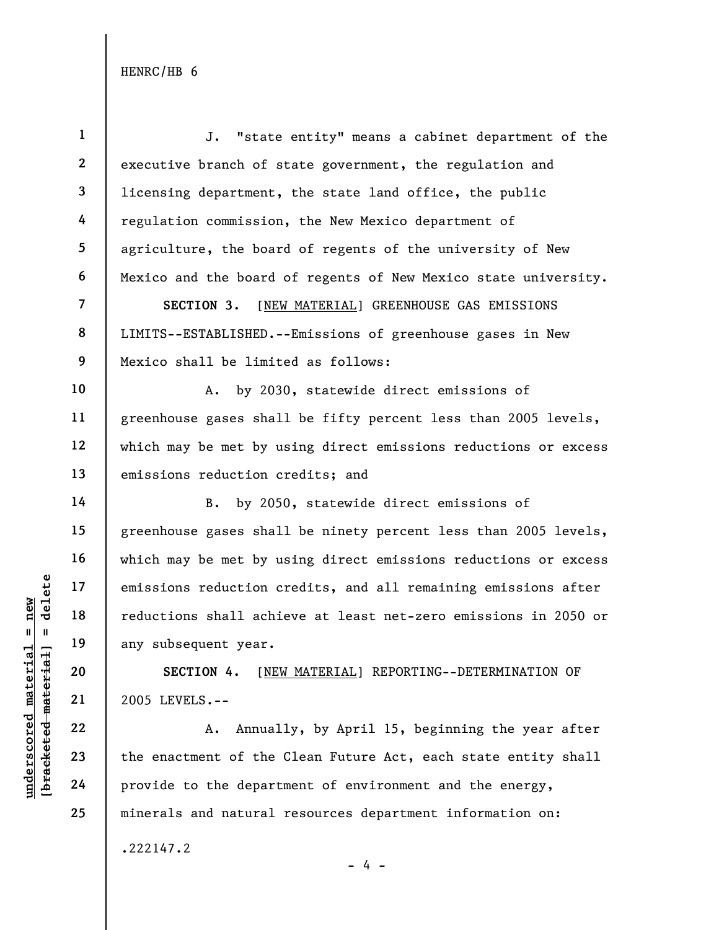underscored material = new [bracketed material] = delete 1 2 3 4 5 6 7 8 9 10 11 12 13 14 15 16 17 18 19 20 21 22 23 24 J. "state entity" means a cabinet department of the executive branch of state government, the regulation and licensing department, the state land office, the public regulation commission, the New Mexico department of agriculture, the board of regents of the university of New Mexico and the board of regents of New Mexico state university. SECTION 3. [NEW MATERIAL] GREENHOUSE GAS EMISSIONS LIMITS--ESTABLISHED.--Emissions of greenhouse gases in New Mexico shall be limited as follows: A. by 2030, statewide direct emissions of greenhouse gases shall be fifty percent less than 2005 levels, which may be met by using direct emissions reductions or excess emissions reduction credits; and B. by 2050, statewide direct emissions of greenhouse gases shall be ninety percent less than 2005 levels, which may be met by using direct emissions reductions or excess emissions reduction credits, and all remaining emissions after reductions shall achieve at least net-zero emissions in 2050 or any subsequent year. SECTION 4. [NEW MATERIAL] REPORTING--DETERMINATION OF 2005 LEVELS.-- A. Annually, by April 15, beginning the year after the enactment of the Clean Future Act, each state entity shall provide to the department of environment and the energy,

minerals and natural resources department information on:

.222147.2

25

- 4 -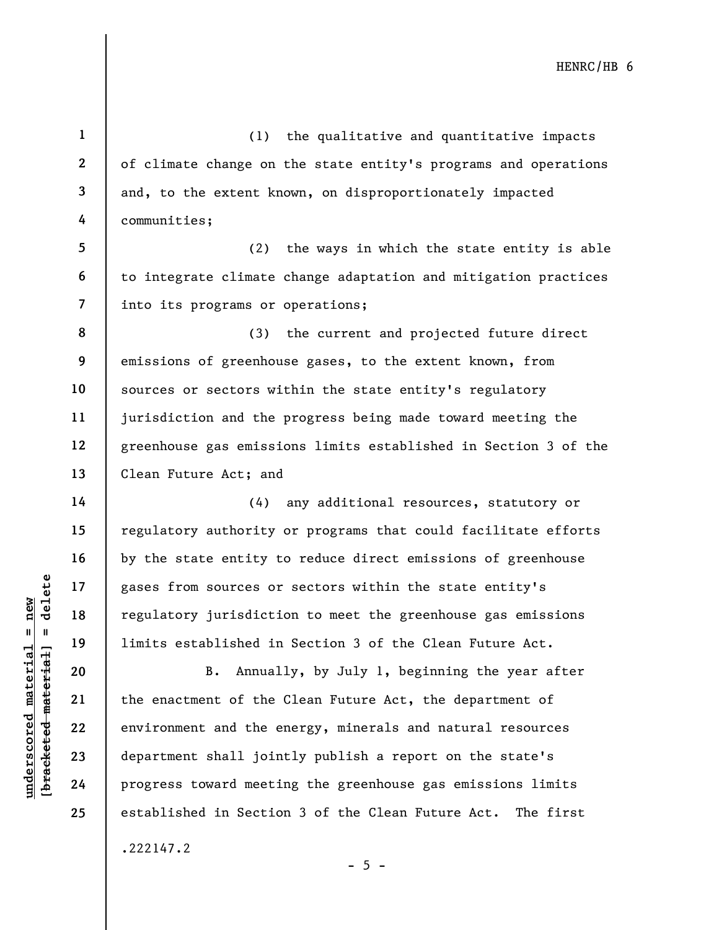(1) the qualitative and quantitative impacts of climate change on the state entity's programs and operations and, to the extent known, on disproportionately impacted communities;

(2) the ways in which the state entity is able to integrate climate change adaptation and mitigation practices into its programs or operations;

8 9 10 11 12 13 (3) the current and projected future direct emissions of greenhouse gases, to the extent known, from sources or sectors within the state entity's regulatory jurisdiction and the progress being made toward meeting the greenhouse gas emissions limits established in Section 3 of the Clean Future Act; and

(4) any additional resources, statutory or regulatory authority or programs that could facilitate efforts by the state entity to reduce direct emissions of greenhouse gases from sources or sectors within the state entity's regulatory jurisdiction to meet the greenhouse gas emissions limits established in Section 3 of the Clean Future Act.

underscored material = new [bracketed material] = delete B. Annually, by July 1, beginning the year after the enactment of the Clean Future Act, the department of environment and the energy, minerals and natural resources department shall jointly publish a report on the state's progress toward meeting the greenhouse gas emissions limits established in Section 3 of the Clean Future Act. The first

.222147.2

 $- 5 -$ 

1

2

3

4

5

6

7

14

15

16

17

18

19

20

21

22

23

24

25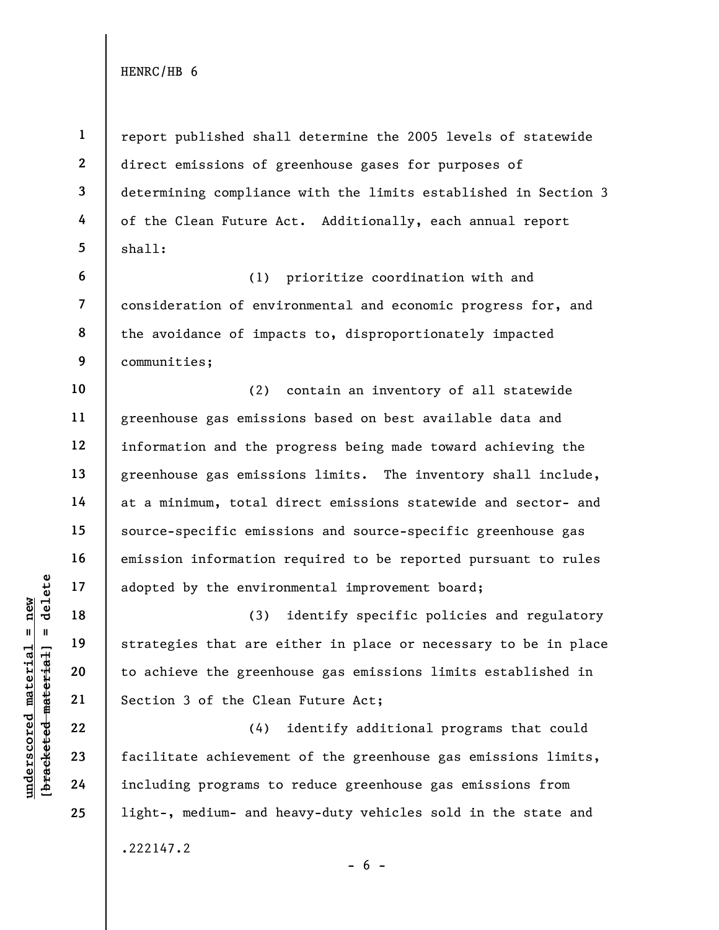1

2

3

4

5

10

11

13

14

16

17

18

19

20

21

22

23

24

25

report published shall determine the 2005 levels of statewide direct emissions of greenhouse gases for purposes of determining compliance with the limits established in Section 3 of the Clean Future Act. Additionally, each annual report shall:

6 7 8 9 (1) prioritize coordination with and consideration of environmental and economic progress for, and the avoidance of impacts to, disproportionately impacted communities;

12 15 (2) contain an inventory of all statewide greenhouse gas emissions based on best available data and information and the progress being made toward achieving the greenhouse gas emissions limits. The inventory shall include, at a minimum, total direct emissions statewide and sector- and source-specific emissions and source-specific greenhouse gas emission information required to be reported pursuant to rules adopted by the environmental improvement board;

understand material material and the environment of the environment of the strategies that are experiment and the strategies that are experiment and the Clean of the Clean of the Clean of the Clean of the Clean of the Clea (3) identify specific policies and regulatory strategies that are either in place or necessary to be in place to achieve the greenhouse gas emissions limits established in Section 3 of the Clean Future Act;

(4) identify additional programs that could facilitate achievement of the greenhouse gas emissions limits, including programs to reduce greenhouse gas emissions from light-, medium- and heavy-duty vehicles sold in the state and .222147.2

 $- 6 -$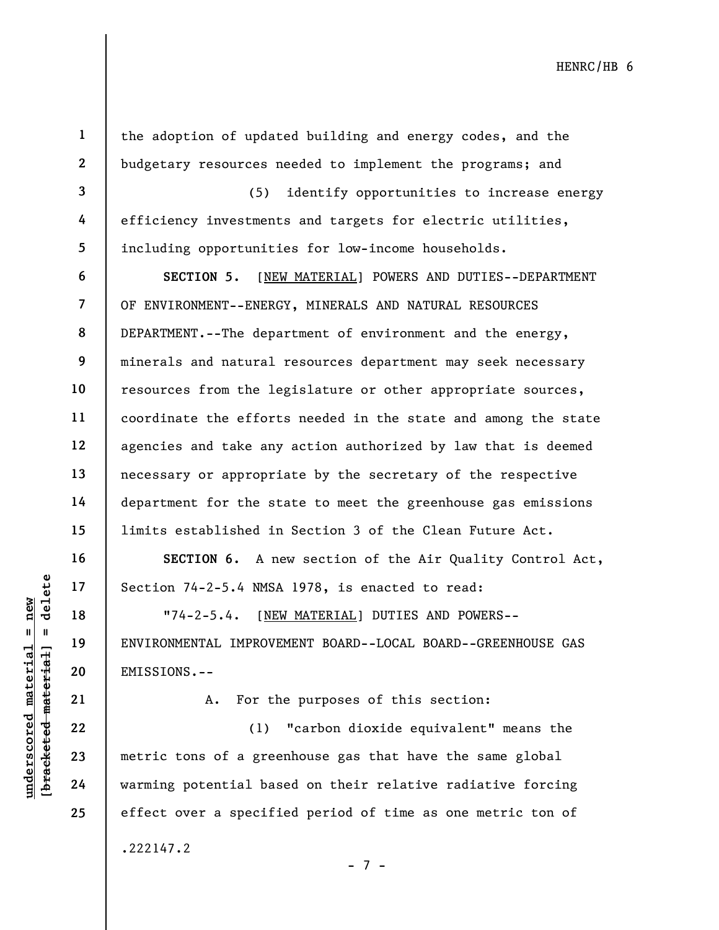1

2

3

4

5

6

7

the adoption of updated building and energy codes, and the budgetary resources needed to implement the programs; and

(5) identify opportunities to increase energy efficiency investments and targets for electric utilities, including opportunities for low-income households.

8 9 SECTION 5. [NEW MATERIAL] POWERS AND DUTIES--DEPARTMENT OF ENVIRONMENT--ENERGY, MINERALS AND NATURAL RESOURCES DEPARTMENT.--The department of environment and the energy, minerals and natural resources department may seek necessary resources from the legislature or other appropriate sources, coordinate the efforts needed in the state and among the state agencies and take any action authorized by law that is deemed necessary or appropriate by the secretary of the respective department for the state to meet the greenhouse gas emissions limits established in Section 3 of the Clean Future Act.

SECTION 6. A new section of the Air Quality Control Act, Section 74-2-5.4 NMSA 1978, is enacted to read:

"74-2-5.4. [NEW MATERIAL] DUTIES AND POWERS-- ENVIRONMENTAL IMPROVEMENT BOARD--LOCAL BOARD--GREENHOUSE GAS EMISSIONS.--

21

24

25

A. For the purposes of this section:

UNERET 17<br>
UNERET 18<br>
UNITED 18<br>
UNITED MATERIAL IMPROVE<br>
ENVIRONMENTAL IMPROVE<br>
ENVIRONMENTAL IMPROVE<br>
ENTISSIONS.--<br>
A. For th<br>
22<br>
23<br>
24<br>
Warming potential bas (1) "carbon dioxide equivalent" means the metric tons of a greenhouse gas that have the same global warming potential based on their relative radiative forcing effect over a specified period of time as one metric ton of .222147.2

- 7 -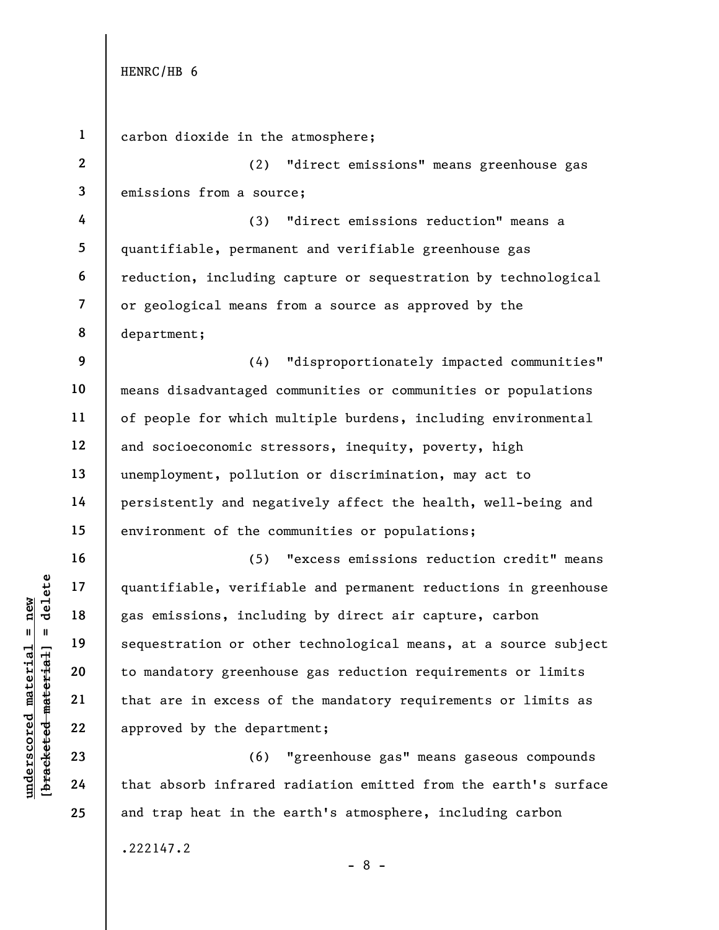understand material process of<br>
understand material sequestration or other<br>
with 19<br>
understand to mandatory greenhouse<br>
that are in excess of<br>
understand that are in excess of<br>
understand that are in excess of<br>
understand 1 2 3 4 5 6 7 8 9 10 11 12 13 14 15 16 17 18 19 20 21 22 23 24 25 carbon dioxide in the atmosphere; (2) "direct emissions" means greenhouse gas emissions from a source; (3) "direct emissions reduction" means a quantifiable, permanent and verifiable greenhouse gas reduction, including capture or sequestration by technological or geological means from a source as approved by the department; (4) "disproportionately impacted communities" means disadvantaged communities or communities or populations of people for which multiple burdens, including environmental and socioeconomic stressors, inequity, poverty, high unemployment, pollution or discrimination, may act to persistently and negatively affect the health, well-being and environment of the communities or populations; (5) "excess emissions reduction credit" means quantifiable, verifiable and permanent reductions in greenhouse gas emissions, including by direct air capture, carbon sequestration or other technological means, at a source subject to mandatory greenhouse gas reduction requirements or limits that are in excess of the mandatory requirements or limits as approved by the department; (6) "greenhouse gas" means gaseous compounds that absorb infrared radiation emitted from the earth's surface and trap heat in the earth's atmosphere, including carbon

.222147.2

- 8 -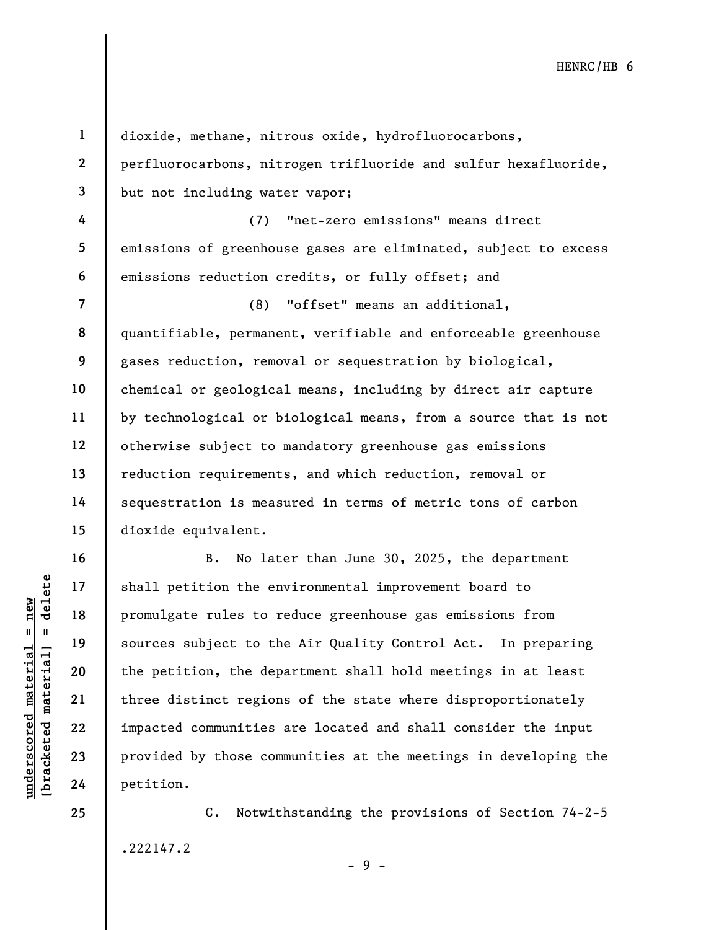understand material shall petition the end<br>  $\begin{array}{c|c|c|c} \hline \text{u} & \text{u} & \text{u} & \text{u} \\ \hline \text{u} & \text{u} & \text{u} & \text{u} \\ \hline \text{u} & \text{u} & \text{u} & \text{u} \\ \hline \text{u} & \text{u} & \text{u} & \text{u} \\ \hline \text{u} & \text{u} & \text{u} & \text{u} \\ \hline \text{u} & \text{u} & \text{u} & \text{u} \\ \h$ 1 2 3 4 5 6 7 8 9 10 11 12 13 14 15 16 17 18 19 20 21 22 23 24 25 dioxide, methane, nitrous oxide, hydrofluorocarbons, perfluorocarbons, nitrogen trifluoride and sulfur hexafluoride, but not including water vapor; (7) "net-zero emissions" means direct emissions of greenhouse gases are eliminated, subject to excess emissions reduction credits, or fully offset; and (8) "offset" means an additional, quantifiable, permanent, verifiable and enforceable greenhouse gases reduction, removal or sequestration by biological, chemical or geological means, including by direct air capture by technological or biological means, from a source that is not otherwise subject to mandatory greenhouse gas emissions reduction requirements, and which reduction, removal or sequestration is measured in terms of metric tons of carbon dioxide equivalent. B. No later than June 30, 2025, the department shall petition the environmental improvement board to promulgate rules to reduce greenhouse gas emissions from sources subject to the Air Quality Control Act. In preparing the petition, the department shall hold meetings in at least three distinct regions of the state where disproportionately impacted communities are located and shall consider the input provided by those communities at the meetings in developing the petition.

C. Notwithstanding the provisions of Section 74-2-5 .222147.2 - 9 -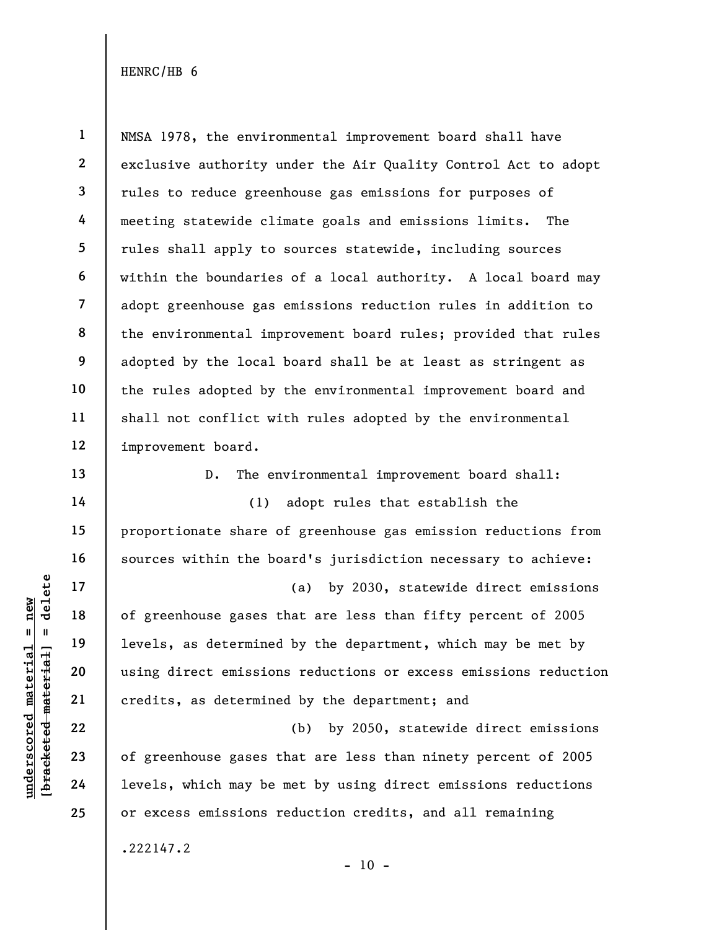1 2 3 4 5 6 7 8 9 10 11 12 NMSA 1978, the environmental improvement board shall have exclusive authority under the Air Quality Control Act to adopt rules to reduce greenhouse gas emissions for purposes of meeting statewide climate goals and emissions limits. The rules shall apply to sources statewide, including sources within the boundaries of a local authority. A local board may adopt greenhouse gas emissions reduction rules in addition to the environmental improvement board rules; provided that rules adopted by the local board shall be at least as stringent as the rules adopted by the environmental improvement board and shall not conflict with rules adopted by the environmental improvement board.

D. The environmental improvement board shall:

(1) adopt rules that establish the proportionate share of greenhouse gas emission reductions from sources within the board's jurisdiction necessary to achieve:

underscored material = new [bracketed material] = delete (a) by 2030, statewide direct emissions of greenhouse gases that are less than fifty percent of 2005 levels, as determined by the department, which may be met by using direct emissions reductions or excess emissions reduction credits, as determined by the department; and

(b) by 2050, statewide direct emissions of greenhouse gases that are less than ninety percent of 2005 levels, which may be met by using direct emissions reductions or excess emissions reduction credits, and all remaining

 $- 10 -$ 

.222147.2

13

14

15

16

17

18

19

20

21

22

23

24

25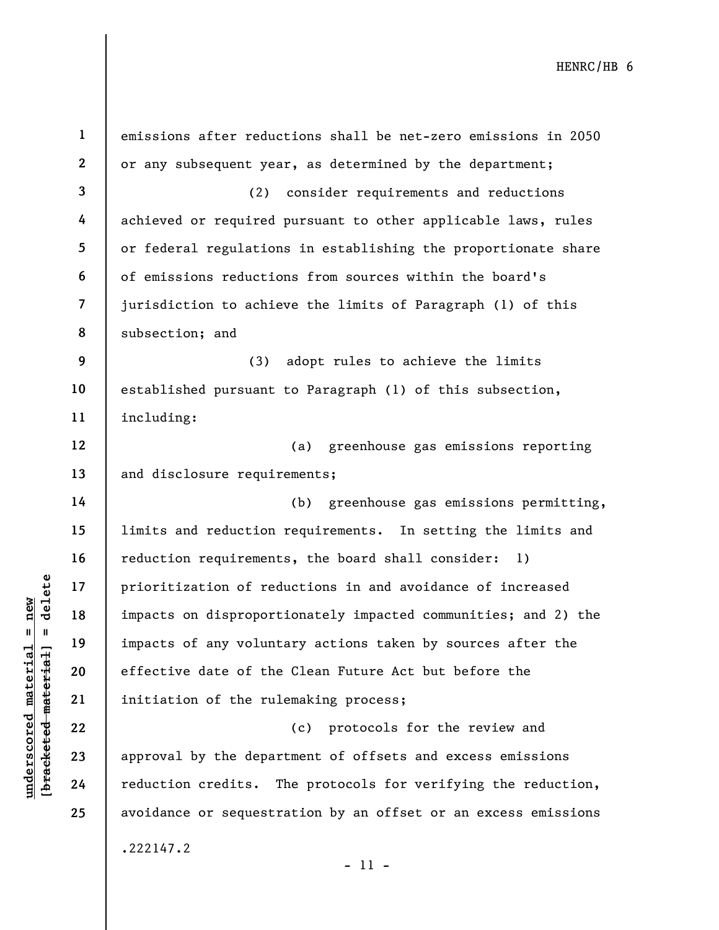|                                                        | $\mathbf{1}$   | emissions after reductions shall be net-zero emissions in 2050 |
|--------------------------------------------------------|----------------|----------------------------------------------------------------|
|                                                        | $\mathbf{2}$   | or any subsequent year, as determined by the department;       |
|                                                        | 3              | consider requirements and reductions<br>(2)                    |
|                                                        | 4              | achieved or required pursuant to other applicable laws, rules  |
|                                                        | 5              | or federal regulations in establishing the proportionate share |
|                                                        | 6              | of emissions reductions from sources within the board's        |
|                                                        | $\overline{7}$ | jurisdiction to achieve the limits of Paragraph (1) of this    |
|                                                        | 8              | subsection; and                                                |
|                                                        | 9              | adopt rules to achieve the limits<br>(3)                       |
|                                                        | 10             | established pursuant to Paragraph (1) of this subsection,      |
|                                                        | 11             | including:                                                     |
|                                                        | 12             | greenhouse gas emissions reporting<br>(a)                      |
|                                                        | 13             | and disclosure requirements;                                   |
|                                                        | 14             | greenhouse gas emissions permitting,<br>(b)                    |
|                                                        | 15             | limits and reduction requirements. In setting the limits and   |
|                                                        | 16             | reduction requirements, the board shall consider:<br>1)        |
| delete                                                 | 17             | prioritization of reductions in and avoidance of increased     |
| new                                                    | 18             | impacts on disproportionately impacted communities; and 2) the |
| $\mathbf{I}$<br>$\mathbf{u}$                           | 19             | impacts of any voluntary actions taken by sources after the    |
| underscored materia<br>[ <del>bracketed materia]</del> | 20             | effective date of the Clean Future Act but before the          |
|                                                        | 21             | initiation of the rulemaking process;                          |
|                                                        | 22             | protocols for the review and<br>(c)                            |
|                                                        | 23             | approval by the department of offsets and excess emissions     |
|                                                        | 24             | reduction credits. The protocols for verifying the reduction,  |
|                                                        | 25             | avoidance or sequestration by an offset or an excess emissions |
|                                                        |                | .222147.2                                                      |

- 11 -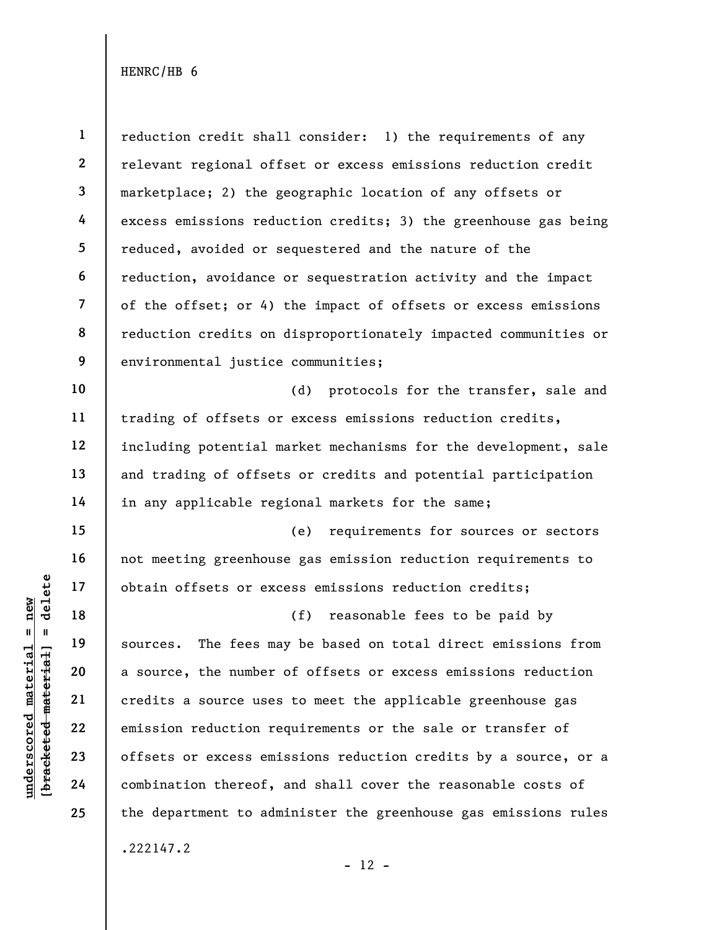under 17<br>
= 18<br>
= 18<br>
= 19<br>
= 19<br>
= 19<br>
= 20<br>
= 21<br>
= 22<br>
= 23<br>
= 24<br>
= 24<br>
= 29<br>
= 24<br>
= 29<br>
= 29<br>
= 29<br>
= 29<br>
= 29<br>
= 29<br>
= 29<br>
= 29<br>
= 29<br>
= 29<br>
= 29<br>
= 29<br>
= 29<br>
= 29<br>
= 29<br>
= 29<br>
= 00<br>
= 29<br>
= 00<br>
= 00<br>
= 00<br>
= 00<br>
= 1 2 3 4 5 6 7 8 9 10 11 12 13 14 15 16 17 18 19 20 21 22 23 24 25 reduction credit shall consider: 1) the requirements of any relevant regional offset or excess emissions reduction credit marketplace; 2) the geographic location of any offsets or excess emissions reduction credits; 3) the greenhouse gas being reduced, avoided or sequestered and the nature of the reduction, avoidance or sequestration activity and the impact of the offset; or 4) the impact of offsets or excess emissions reduction credits on disproportionately impacted communities or environmental justice communities; (d) protocols for the transfer, sale and trading of offsets or excess emissions reduction credits, including potential market mechanisms for the development, sale and trading of offsets or credits and potential participation in any applicable regional markets for the same; (e) requirements for sources or sectors not meeting greenhouse gas emission reduction requirements to obtain offsets or excess emissions reduction credits; (f) reasonable fees to be paid by sources. The fees may be based on total direct emissions from a source, the number of offsets or excess emissions reduction credits a source uses to meet the applicable greenhouse gas emission reduction requirements or the sale or transfer of offsets or excess emissions reduction credits by a source, or a combination thereof, and shall cover the reasonable costs of the department to administer the greenhouse gas emissions rules .222147.2

 $- 12 -$